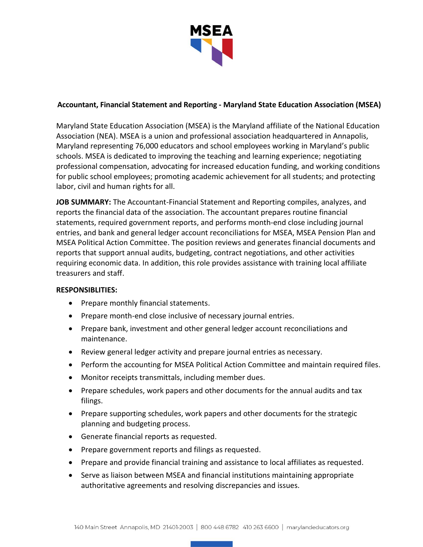

## **Accountant, Financial Statement and Reporting - Maryland State Education Association (MSEA)**

Maryland State Education Association (MSEA) is the Maryland affiliate of the National Education Association (NEA). MSEA is a union and professional association headquartered in Annapolis, Maryland representing 76,000 educators and school employees working in Maryland's public schools. MSEA is dedicated to improving the teaching and learning experience; negotiating professional compensation, advocating for increased education funding, and working conditions for public school employees; promoting academic achievement for all students; and protecting labor, civil and human rights for all.

**JOB SUMMARY:** The Accountant-Financial Statement and Reporting compiles, analyzes, and reports the financial data of the association. The accountant prepares routine financial statements, required government reports, and performs month-end close including journal entries, and bank and general ledger account reconciliations for MSEA, MSEA Pension Plan and MSEA Political Action Committee. The position reviews and generates financial documents and reports that support annual audits, budgeting, contract negotiations, and other activities requiring economic data. In addition, this role provides assistance with training local affiliate treasurers and staff.

### **RESPONSIBLITIES:**

- Prepare monthly financial statements.
- Prepare month-end close inclusive of necessary journal entries.
- Prepare bank, investment and other general ledger account reconciliations and maintenance.
- Review general ledger activity and prepare journal entries as necessary.
- Perform the accounting for MSEA Political Action Committee and maintain required files.
- Monitor receipts transmittals, including member dues.
- Prepare schedules, work papers and other documents for the annual audits and tax filings.
- Prepare supporting schedules, work papers and other documents for the strategic planning and budgeting process.
- Generate financial reports as requested.
- Prepare government reports and filings as requested.
- Prepare and provide financial training and assistance to local affiliates as requested.
- Serve as liaison between MSEA and financial institutions maintaining appropriate authoritative agreements and resolving discrepancies and issues.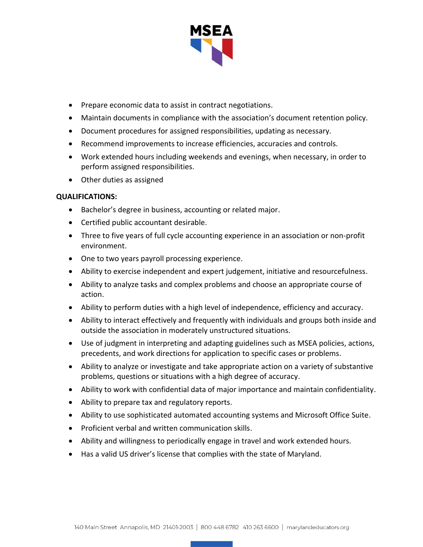

- Prepare economic data to assist in contract negotiations.
- Maintain documents in compliance with the association's document retention policy.
- Document procedures for assigned responsibilities, updating as necessary.
- Recommend improvements to increase efficiencies, accuracies and controls.
- Work extended hours including weekends and evenings, when necessary, in order to perform assigned responsibilities.
- Other duties as assigned

### **QUALIFICATIONS:**

- Bachelor's degree in business, accounting or related major.
- Certified public accountant desirable.
- Three to five years of full cycle accounting experience in an association or non-profit environment.
- One to two years payroll processing experience.
- Ability to exercise independent and expert judgement, initiative and resourcefulness.
- Ability to analyze tasks and complex problems and choose an appropriate course of action.
- Ability to perform duties with a high level of independence, efficiency and accuracy.
- Ability to interact effectively and frequently with individuals and groups both inside and outside the association in moderately unstructured situations.
- Use of judgment in interpreting and adapting guidelines such as MSEA policies, actions, precedents, and work directions for application to specific cases or problems.
- Ability to analyze or investigate and take appropriate action on a variety of substantive problems, questions or situations with a high degree of accuracy.
- Ability to work with confidential data of major importance and maintain confidentiality.
- Ability to prepare tax and regulatory reports.
- Ability to use sophisticated automated accounting systems and Microsoft Office Suite.
- Proficient verbal and written communication skills.
- Ability and willingness to periodically engage in travel and work extended hours.
- Has a valid US driver's license that complies with the state of Maryland.